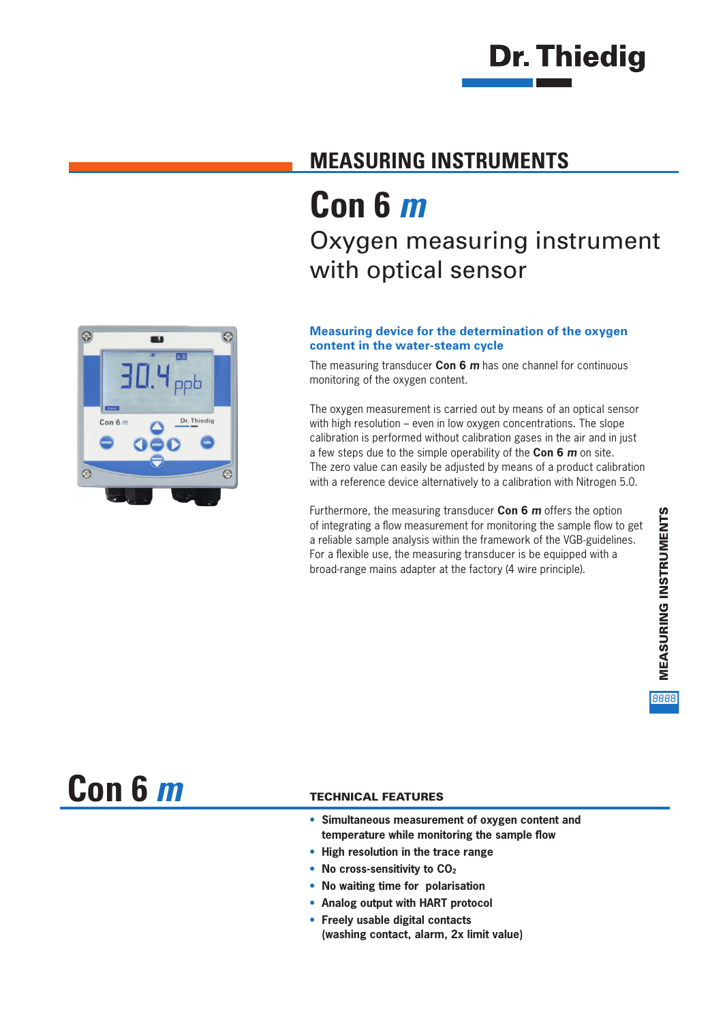# **Dr. Thiedig**

### **MEASURING INSTRUMENTS**

## **Con 6** *m* Oxygen measuring instrument with optical sensor

#### **Measuring device for the determination of the oxygen content in the water-steam cycle**

The measuring transducer **Con 6** *m* has one channel for continuous monitoring of the oxygen content.

The oxygen measurement is carried out by means of an optical sensor with high resolution – even in low oxygen concentrations. The slope calibration is performed without calibration gases in the air and in just a few steps due to the simple operability of the **Con 6** *m* on site. The zero value can easily be adjusted by means of a product calibration with a reference device alternatively to a calibration with Nitrogen 5.0.

Furthermore, the measuring transducer **Con 6** *m* offers the option of integrating a flow measurement for monitoring the sample flow to get a reliable sample analysis within the framework of the VGB-guidelines. For a flexible use, the measuring transducer is be equipped with a broad-range mains adapter at the factory (4 wire principle).



**Con 6** *m*

#### TECHNICAL FEATURES

- **• Simultaneous measurement of oxygen content and temperature while monitoring the sample flow**
- **• High resolution in the trace range**
- No cross-sensitivity to CO<sub>2</sub>
- **• No waiting time for polarisation**
- **• Analog output with HART protocol**
- **• Freely usable digital contacts (washing contact, alarm, 2x limit value)**